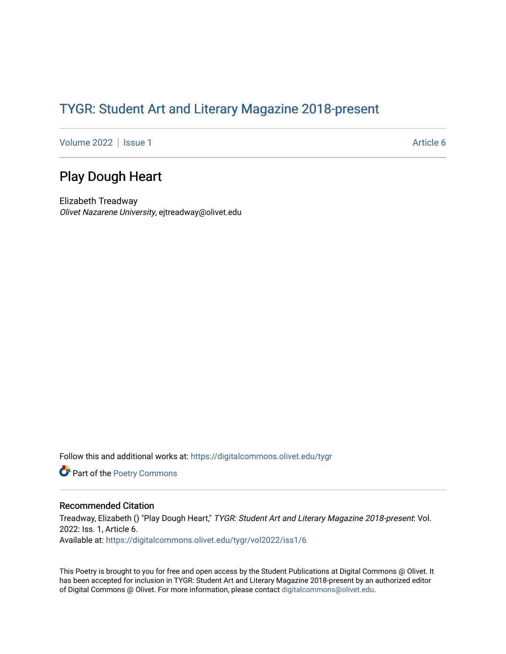## TYGR: Student Art and Literary Magazine 2018-present

[Volume 2022](https://digitalcommons.olivet.edu/tygr/vol2022) | [Issue 1](https://digitalcommons.olivet.edu/tygr/vol2022/iss1) Article 6

## Play Dough Heart

Elizabeth Treadway Olivet Nazarene University, ejtreadway@olivet.edu

Follow this and additional works at: [https://digitalcommons.olivet.edu/tygr](https://digitalcommons.olivet.edu/tygr?utm_source=digitalcommons.olivet.edu%2Ftygr%2Fvol2022%2Fiss1%2F6&utm_medium=PDF&utm_campaign=PDFCoverPages)

Part of the [Poetry Commons](http://network.bepress.com/hgg/discipline/1153?utm_source=digitalcommons.olivet.edu%2Ftygr%2Fvol2022%2Fiss1%2F6&utm_medium=PDF&utm_campaign=PDFCoverPages) 

## Recommended Citation

Treadway, Elizabeth () "Play Dough Heart," TYGR: Student Art and Literary Magazine 2018-present: Vol. 2022: Iss. 1, Article 6. Available at: [https://digitalcommons.olivet.edu/tygr/vol2022/iss1/6](https://digitalcommons.olivet.edu/tygr/vol2022/iss1/6?utm_source=digitalcommons.olivet.edu%2Ftygr%2Fvol2022%2Fiss1%2F6&utm_medium=PDF&utm_campaign=PDFCoverPages) 

This Poetry is brought to you for free and open access by the Student Publications at Digital Commons @ Olivet. It has been accepted for inclusion in TYGR: Student Art and Literary Magazine 2018-present by an authorized editor of Digital Commons @ Olivet. For more information, please contact [digitalcommons@olivet.edu.](mailto:digitalcommons@olivet.edu)